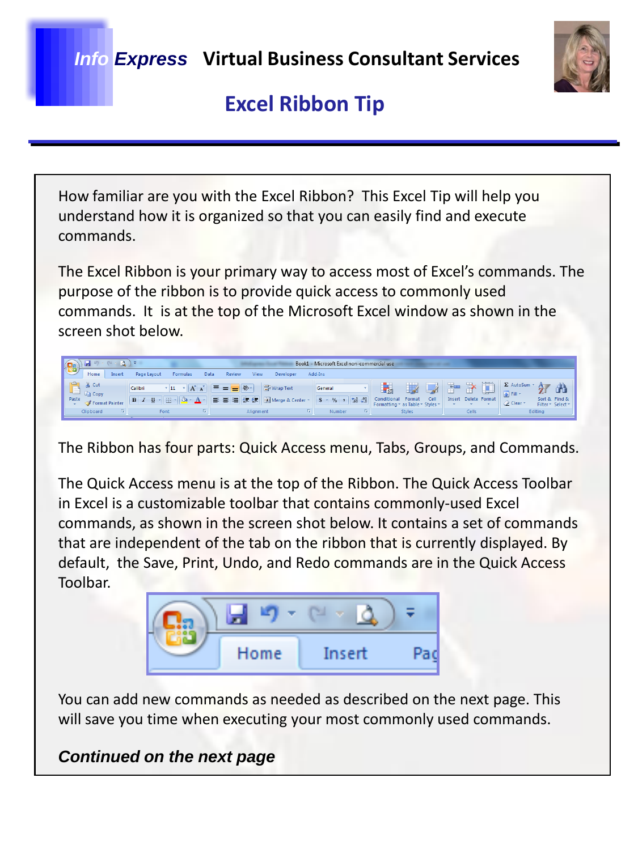*Info Express* **Virtual Business Consultant Services**



### **Excel Ribbon Tip**

How familiar are you with the Excel Ribbon? This Excel Tip will help you understand how it is organized so that you can easily find and execute commands.

The Excel Ribbon is your primary way to access most of Excel's commands. The purpose of the ribbon is to provide quick access to commonly used commands. It is at the top of the Microsoft Excel window as shown in the screen shot below.

 $\begin{picture}(180,10) \put(0,0){\line(1,0){10}} \put(10,0){\line(1,0){10}} \put(10,0){\line(1,0){10}} \put(10,0){\line(1,0){10}} \put(10,0){\line(1,0){10}} \put(10,0){\line(1,0){10}} \put(10,0){\line(1,0){10}} \put(10,0){\line(1,0){10}} \put(10,0){\line(1,0){10}} \put(10,0){\line(1,0){10}} \put(10,0){\line(1,0){10}} \put(10,0){\line($ Book1 - Microsoft Excel non-commercial use Home Insert Page Layout Formulas View Developer Add-Ins  $\begin{array}{c|c|c|c|c|c|c|c} \hline \text{Cultor} & \text{Cultor} & \text{Var} & \text{Var} & \text{Var} & \text{Var} & \text{Var} \end{array}$ 舒 角 다 Calibri "미 시시 트를 대한 과 Wap Text<br>- The Mondel of The Hotel Delete Format<br>- The Municipal Delete Format Painter B / The Hotel Delete Format Delete Format Painter (B / U 기대 기대 기대 기대 기대 기<br>- Allonment Allonment Delete Port ( **Ea** Copy Sort & Find & Editing Font

The Ribbon has four parts: Quick Access menu, Tabs, Groups, and Commands.

The Quick Access menu is at the top of the Ribbon. The Quick Access Toolbar in Excel is a customizable toolbar that contains commonly-used Excel commands, as shown in the screen shot below. It contains a set of commands that are independent of the tab on the ribbon that is currently displayed. By default, the Save, Print, Undo, and Redo commands are in the Quick Access Toolbar.



You can add new commands as needed as described on the next page. This will save you time when executing your most commonly used commands.

*Continued on the next page*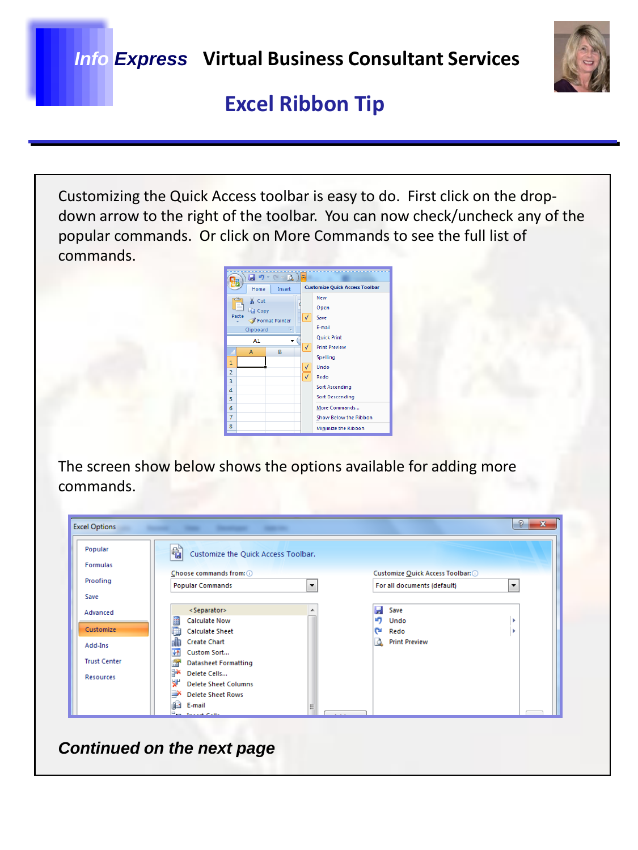

# **Excel Ribbon Tip**

Customizing the Quick Access toolbar is easy to do. First click on the dropdown arrow to the right of the toolbar. You can now check/uncheck any of the popular commands. Or click on More Commands to see the full list of commands.



The screen show below shows the options available for adding more commands.

| Popular             | 省<br>Customize the Quick Access Toolbar. |                      |                                                         |                                     |  |  |  |
|---------------------|------------------------------------------|----------------------|---------------------------------------------------------|-------------------------------------|--|--|--|
| <b>Formulas</b>     |                                          |                      |                                                         |                                     |  |  |  |
| Proofing            | Choose commands from: (i)                |                      |                                                         | Customize Quick Access Toolbar: (i) |  |  |  |
|                     | <b>Popular Commands</b>                  | $\blacktriangledown$ | For all documents (default)<br>$\overline{\phantom{a}}$ |                                     |  |  |  |
| Save                |                                          |                      |                                                         |                                     |  |  |  |
| Advanced            | <separator></separator>                  | ۸                    | н<br>Save                                               |                                     |  |  |  |
|                     | <b>Calculate Now</b>                     |                      | ۱ŋ<br>Undo                                              |                                     |  |  |  |
| Customize           | <b>Calculate Sheet</b>                   |                      | n.<br>Redo                                              |                                     |  |  |  |
| Add-Ins             | <b>Create Chart</b>                      |                      | <b>Print Preview</b><br>Δ.                              |                                     |  |  |  |
|                     | Custom Sort<br><b>VA</b>                 |                      |                                                         |                                     |  |  |  |
| <b>Trust Center</b> | <b>Datasheet Formatting</b>              |                      |                                                         |                                     |  |  |  |
| <b>Resources</b>    | BХ<br>Delete Cells                       |                      |                                                         |                                     |  |  |  |
|                     | ۷ľ<br><b>Delete Sheet Columns</b>        |                      |                                                         |                                     |  |  |  |
|                     | <b>Delete Sheet Rows</b>                 |                      |                                                         |                                     |  |  |  |
|                     | E-mail                                   |                      |                                                         |                                     |  |  |  |
|                     | <b>Fax Incord Colle</b>                  |                      |                                                         |                                     |  |  |  |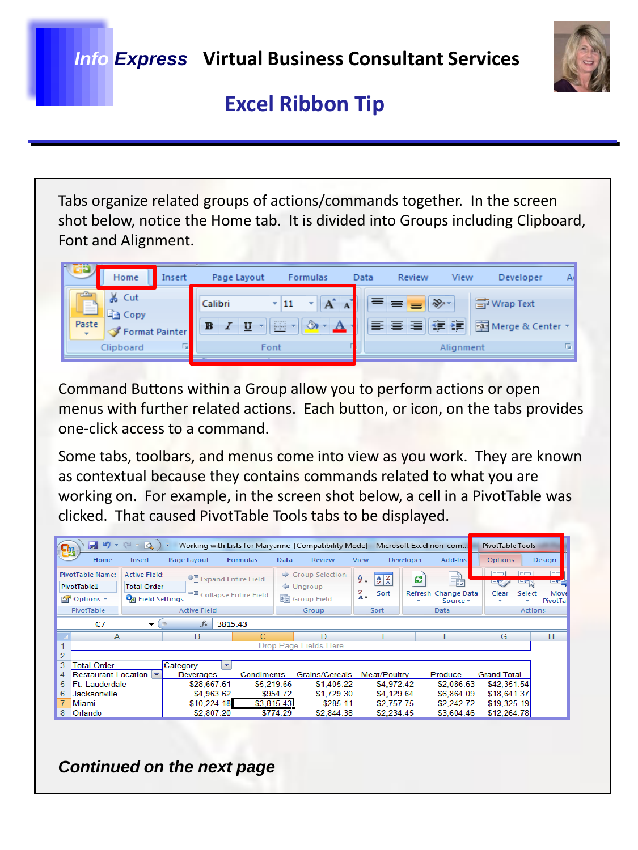

# **Excel Ribbon Tip**

Tabs organize related groups of actions/commands together. In the screen shot below, notice the Home tab. It is divided into Groups including Clipboard, Font and Alignment.



Command Buttons within a Group allow you to perform actions or open menus with further related actions. Each button, or icon, on the tabs provides one-click access to a command.

Some tabs, toolbars, and menus come into view as you work. They are known as contextual because they contains commands related to what you are working on. For example, in the screen shot below, a cell in a PivotTable was clicked. That caused PivotTable Tools tabs to be displayed.

| <b>in</b><br>Ы<br>$\mathbb{C}^{\leq d}$<br>$-8$<br>≂<br>$\mathcal{L}_{\mathcal{F}}$<br>Working with Lists for Maryanne [Compatibility Mode] - Microsoft Excel non-com<br>品 |                          |                  |                                      |               |                        |               |                             |           |                                 | <b>PivotTable Tools</b> |                |                  |
|----------------------------------------------------------------------------------------------------------------------------------------------------------------------------|--------------------------|------------------|--------------------------------------|---------------|------------------------|---------------|-----------------------------|-----------|---------------------------------|-------------------------|----------------|------------------|
| Home                                                                                                                                                                       | Insert                   | Page Layout      | <b>Formulas</b>                      | Data          | Review                 | View          |                             | Developer | Add-Ins                         | Options                 |                | Design           |
| <b>PivotTable Name:</b>                                                                                                                                                    | <b>Active Field:</b>     |                  | ● Expand Entire Field                | $\Rightarrow$ | <b>Group Selection</b> | $\frac{A}{Z}$ | $\frac{A}{Z}$ $\frac{Z}{A}$ | ಲಿ        | B,                              | $n-1$                   |                | <b>DE</b>        |
| PivotTable1                                                                                                                                                                | <b>Total Order</b>       |                  |                                      |               | ← Ungroup              |               |                             |           |                                 |                         |                | <b>Litrea</b>    |
| <b>The Options *</b>                                                                                                                                                       | <b>Pa</b> Field Settings |                  | <sup>빠</sup> 를 Collapse Entire Field |               | <b>Ez</b> Group Field  | $\frac{Z}{A}$ | Sort                        |           | Refresh Change Data<br>Source * | Clear                   | Select         | Move<br>PivotTal |
| PivotTable                                                                                                                                                                 |                          | Active Field     |                                      |               | Group                  |               | Sort                        |           | Data                            |                         | <b>Actions</b> |                  |
| $f_x$<br>3815.43<br>C7<br>▼                                                                                                                                                |                          |                  |                                      |               |                        |               |                             |           |                                 |                         |                |                  |
| A                                                                                                                                                                          |                          | B                | С                                    |               | D                      |               | Е                           |           | F                               | G                       |                | н                |
| Drop Page Fields Here                                                                                                                                                      |                          |                  |                                      |               |                        |               |                             |           |                                 |                         |                |                  |
| $\overline{2}$                                                                                                                                                             |                          |                  |                                      |               |                        |               |                             |           |                                 |                         |                |                  |
| 3<br><b>Total Order</b>                                                                                                                                                    |                          | Category         | ▼                                    |               |                        |               |                             |           |                                 |                         |                |                  |
| <b>Restaurant Location</b><br>4                                                                                                                                            | $\mathbf{r}$             | <b>Beverages</b> | Condiments                           |               | Grains/Cereals         |               | Meat/Poultry                |           | Produce                         | <b>Grand Total</b>      |                |                  |
| Ft. Lauderdale<br>5                                                                                                                                                        |                          | \$28,667.61      | \$5,219.66                           |               | \$1,405.22             |               | \$4,972.42                  |           | \$2,086.63                      | \$42,351.54             |                |                  |
| 6<br>Jacksonville                                                                                                                                                          |                          | \$4,963.62       |                                      | \$954.72      | \$1,729.30             |               | \$4,129.64                  |           | \$6,864.09                      | \$18,641.37             |                |                  |
| Miami                                                                                                                                                                      |                          | \$10,224.18      | \$3,815.43                           |               | \$285.11               |               | \$2,757.75                  |           | \$2,242.72                      | \$19,325.19             |                |                  |
| 8<br>Orlando                                                                                                                                                               |                          | \$2,807.20       |                                      | \$774.29      | \$2,844.38             |               | \$2,234.45                  |           | \$3,604.46                      | \$12,264.78             |                |                  |

*Continued on the next page*